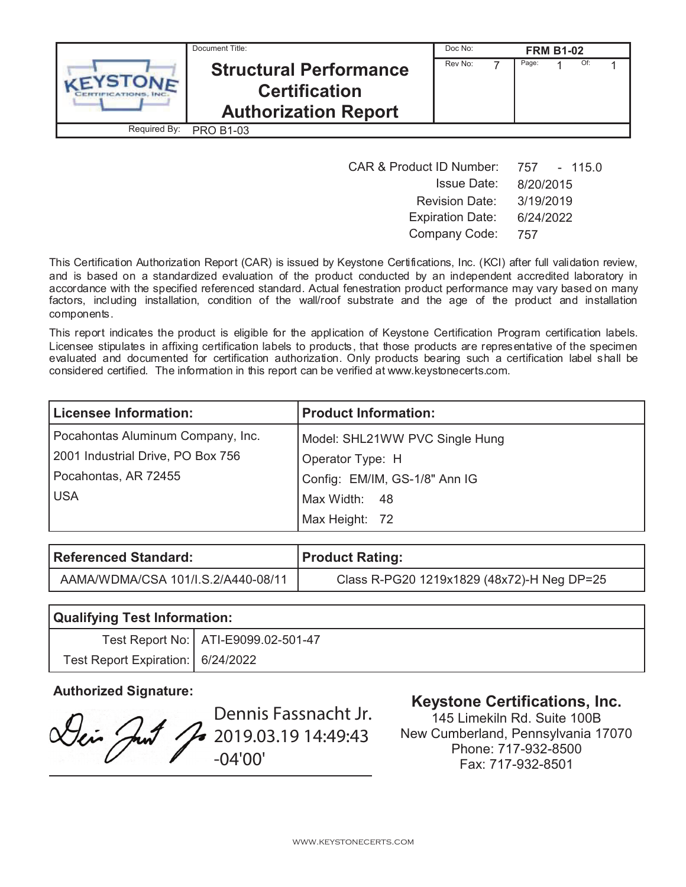|              | Document Title:                                                                      | Doc No: |       | <b>FRM B1-02</b> |     |  |
|--------------|--------------------------------------------------------------------------------------|---------|-------|------------------|-----|--|
|              | <b>Structural Performance</b><br><b>Certification</b><br><b>Authorization Report</b> | Rev No: | Page: |                  | Of: |  |
| Required By: | <b>PRO B1-03</b>                                                                     |         |       |                  |     |  |

| <b>CAR &amp; Product ID Number:</b> | 757 - 115.0 |
|-------------------------------------|-------------|
| <b>Issue Date:</b>                  | 8/20/2015   |
| <b>Revision Date:</b>               | 3/19/2019   |
| <b>Expiration Date:</b>             | 6/24/2022   |
| Company Code:                       | 757         |

This Certification Authorization Report (CAR) is issued by Keystone Certifications, Inc. (KCI) after full validation review, and is based on a standardized evaluation of the product conducted by an independent accredited laboratory in accordance with the specified referenced standard. Actual fenestration product performance may vary based on many factors, including installation, condition of the wall/roof substrate and the age of the product and installation components.

This report indicates the product is eligible for the application of Keystone Certification Program certification labels. Licensee stipulates in affixing certification labels to products, that those products are representative of the specimen evaluated and documented for certification authorization. Only products bearing such a certification label shall be considered certified. The information in this report can be verified at www.keystonecerts.com.

| <b>Licensee Information:</b>      | <b>Product Information:</b>    |
|-----------------------------------|--------------------------------|
| Pocahontas Aluminum Company, Inc. | Model: SHL21WW PVC Single Hung |
| 2001 Industrial Drive, PO Box 756 | Operator Type: H               |
| Pocahontas, AR 72455              | Config: EM/IM, GS-1/8" Ann IG  |
| <b>USA</b>                        | Max Width: 48                  |
|                                   | Max Height: 72                 |

| Referenced Standard:               | <b>Product Rating:</b>                     |
|------------------------------------|--------------------------------------------|
| AAMA/WDMA/CSA 101/I.S.2/A440-08/11 | Class R-PG20 1219x1829 (48x72)-H Neg DP=25 |

| <b>Qualifying Test Information:</b> |                                       |  |  |
|-------------------------------------|---------------------------------------|--|--|
|                                     | Test Report No:   ATI-E9099.02-501-47 |  |  |
| Test Report Expiration:   6/24/2022 |                                       |  |  |

Dennis Fassnacht Jr. Dei Just 2019.03.19 14:49:43 -04'00'

# **Authorized Signature: Keystone Certifications, Inc.**

145 Limekiln Rd. Suite 100B New Cumberland, Pennsylvania 17070 Phone: 717-932-8500 Fax: 717-932-8501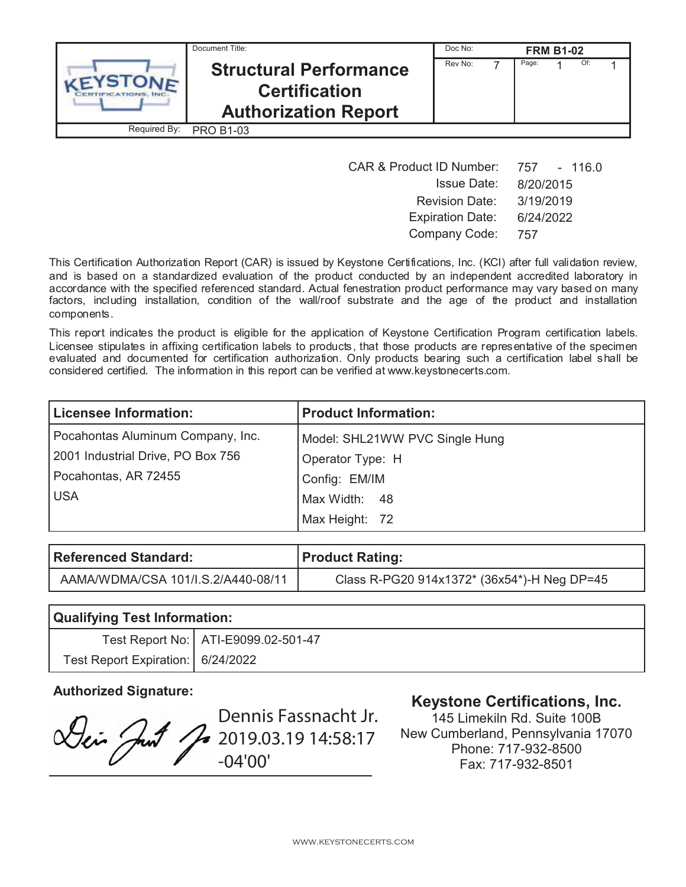|              | Document Title:                                                                      | Doc No: |       | <b>FRM B1-02</b> |     |  |
|--------------|--------------------------------------------------------------------------------------|---------|-------|------------------|-----|--|
|              | <b>Structural Performance</b><br><b>Certification</b><br><b>Authorization Report</b> | Rev No: | Page: |                  | Of: |  |
| Required By: | <b>PRO B1-03</b>                                                                     |         |       |                  |     |  |

| <b>CAR &amp; Product ID Number:</b> | 757 - 116.0 |
|-------------------------------------|-------------|
| <b>Issue Date:</b>                  | 8/20/2015   |
| <b>Revision Date:</b>               | 3/19/2019   |
| <b>Expiration Date:</b>             | 6/24/2022   |
| Company Code:                       | 757         |

This Certification Authorization Report (CAR) is issued by Keystone Certifications, Inc. (KCI) after full validation review, and is based on a standardized evaluation of the product conducted by an independent accredited laboratory in accordance with the specified referenced standard. Actual fenestration product performance may vary based on many factors, including installation, condition of the wall/roof substrate and the age of the product and installation components.

This report indicates the product is eligible for the application of Keystone Certification Program certification labels. Licensee stipulates in affixing certification labels to products, that those products are representative of the specimen evaluated and documented for certification authorization. Only products bearing such a certification label shall be considered certified. The information in this report can be verified at www.keystonecerts.com.

| <b>Licensee Information:</b>      | <b>Product Information:</b>    |
|-----------------------------------|--------------------------------|
| Pocahontas Aluminum Company, Inc. | Model: SHL21WW PVC Single Hung |
| 2001 Industrial Drive, PO Box 756 | Operator Type: H               |
| Pocahontas, AR 72455              | Config: EM/IM                  |
| <b>USA</b>                        | Max Width: 48                  |
|                                   | Max Height: 72                 |

| Referenced Standard:               | <b>Product Rating:</b>                      |
|------------------------------------|---------------------------------------------|
| AAMA/WDMA/CSA 101/I.S.2/A440-08/11 | Class R-PG20 914x1372* (36x54*)-H Neg DP=45 |

| <b>Qualifying Test Information:</b> |                                       |  |  |
|-------------------------------------|---------------------------------------|--|--|
|                                     | Test Report No:   ATI-E9099.02-501-47 |  |  |
| Test Report Expiration:   6/24/2022 |                                       |  |  |

Dennis Fassnacht Jr. Lei Just J 2019.03.19 14:58:17 -04'00'

# **Authorized Signature: Keystone Certifications, Inc.**

145 Limekiln Rd. Suite 100B New Cumberland, Pennsylvania 17070 Phone: 717-932-8500 Fax: 717-932-8501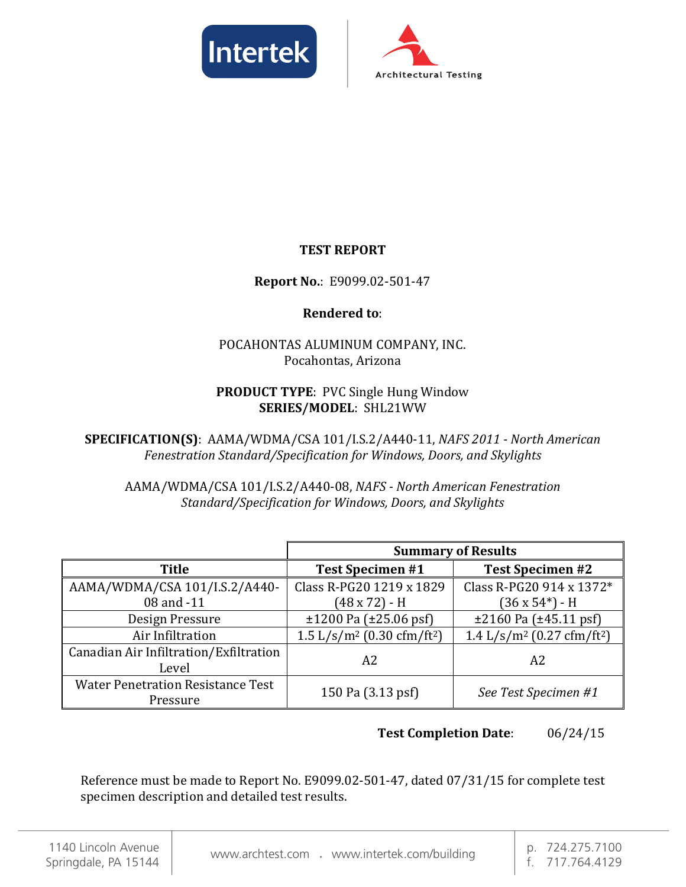



### **TEST REPORT**

#### **Report No.**: E9099.02-501-47

#### **Rendered to**:

#### POCAHONTAS ALUMINUM COMPANY, INC. Pocahontas, Arizona

#### **PRODUCT TYPE**: PVC Single Hung Window **SERIES/MODEL**: SHL21WW

**SPECIFICATION(S)**: AAMA/WDMA/CSA 101/I.S.2/A440-11, *NAFS 2011 - North American Fenestration Standard/Specification for Windows, Doors, and Skylights*

AAMA/WDMA/CSA 101/I.S.2/A440-08, *NAFS - North American Fenestration Standard/Specification for Windows, Doors, and Skylights*

|                                                      | <b>Summary of Results</b>                          |                                                    |  |  |
|------------------------------------------------------|----------------------------------------------------|----------------------------------------------------|--|--|
| <b>Title</b>                                         | <b>Test Specimen #1</b>                            | <b>Test Specimen #2</b>                            |  |  |
| AAMA/WDMA/CSA 101/I.S.2/A440-                        | Class R-PG20 1219 x 1829                           | Class R-PG20 914 x 1372*                           |  |  |
| 08 and -11                                           | (48 x 72) - H                                      | (36 x 54*) - H                                     |  |  |
| Design Pressure                                      | $\pm 1200$ Pa ( $\pm 25.06$ psf)                   | $\pm 2160$ Pa ( $\pm 45.11$ psf)                   |  |  |
| Air Infiltration                                     | 1.5 L/s/m <sup>2</sup> (0.30 cfm/ft <sup>2</sup> ) | 1.4 L/s/m <sup>2</sup> (0.27 cfm/ft <sup>2</sup> ) |  |  |
| Canadian Air Infiltration/Exfiltration<br>Level      | A2                                                 | A2                                                 |  |  |
| <b>Water Penetration Resistance Test</b><br>Pressure | 150 Pa (3.13 psf)                                  | See Test Specimen #1                               |  |  |

#### **Test Completion Date**: 06/24/15

Reference must be made to Report No. E9099.02-501-47, dated 07/31/15 for complete test specimen description and detailed test results.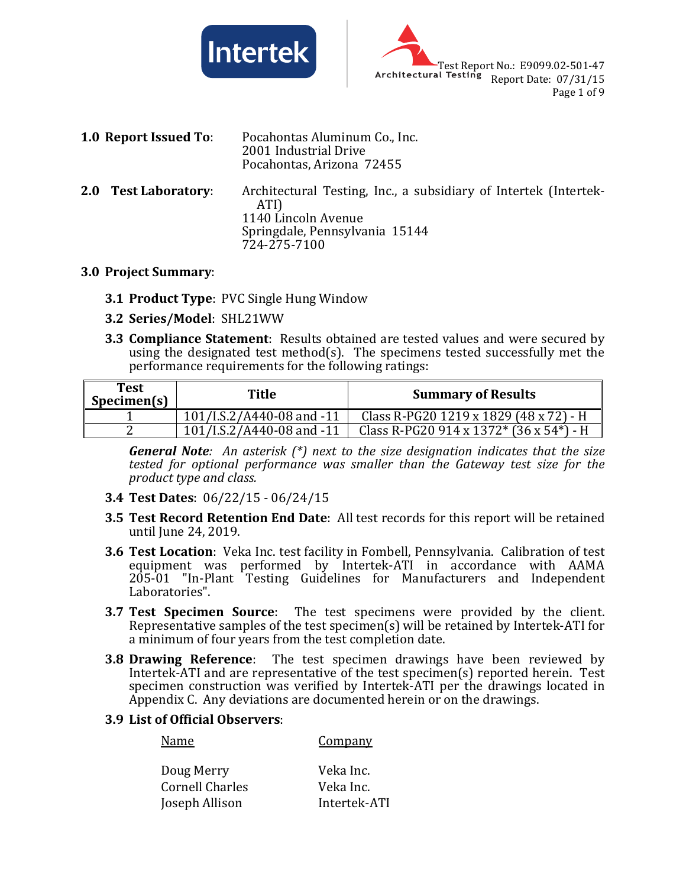



| 1.0 Report Issued To: | Pocahontas Aluminum Co., Inc.<br>2001 Industrial Drive<br>Pocahontas, Arizona 72455                                                               |
|-----------------------|---------------------------------------------------------------------------------------------------------------------------------------------------|
| 2.0 Test Laboratory:  | Architectural Testing, Inc., a subsidiary of Intertek (Intertek-<br>ATI)<br>1140 Lincoln Avenue<br>Springdale, Pennsylvania 15144<br>724-275-7100 |

#### **3.0 Project Summary**:

- **3.1 Product Type**: PVC Single Hung Window
- **3.2 Series/Model**: SHL21WW
- **3.3 Compliance Statement**: Results obtained are tested values and were secured by using the designated test method(s). The specimens tested successfully met the performance requirements for the following ratings:

| Test<br>Specimen(s) | Title                     | <b>Summary of Results</b>                       |
|---------------------|---------------------------|-------------------------------------------------|
|                     | 101/I.S.2/A440-08 and -11 | Class R-PG20 1219 x 1829 (48 x 72) - H          |
| c                   | 101/I.S.2/A440-08 and -11 | Class R-PG20 914 x 1372* $(36 \times 54^*)$ - H |

*General Note: An asterisk (\*) next to the size designation indicates that the size tested for optional performance was smaller than the Gateway test size for the product type and class.*

- **3.4 Test Dates**: 06/22/15 06/24/15
- **3.5 Test Record Retention End Date**: All test records for this report will be retained until June 24, 2019.
- **3.6 Test Location**: Veka Inc. test facility in Fombell, Pennsylvania. Calibration of test equipment was performed by Intertek-ATI in accordance with AAMA 205-01 "In-Plant Testing Guidelines for Manufacturers and Independent Laboratories".
- **3.7 Test Specimen Source**: The test specimens were provided by the client. Representative samples of the test specimen(s) will be retained by Intertek-ATI for a minimum of four years from the test completion date.
- **3.8 Drawing Reference**: The test specimen drawings have been reviewed by Intertek-ATI and are representative of the test specimen(s) reported herein. Test specimen construction was verified by Intertek-ATI per the drawings located in Appendix C. Any deviations are documented herein or on the drawings.
- **3.9 List of Official Observers**:

| Name                   | Company      |
|------------------------|--------------|
| Doug Merry             | Veka Inc.    |
| <b>Cornell Charles</b> | Veka Inc.    |
| Joseph Allison         | Intertek-ATI |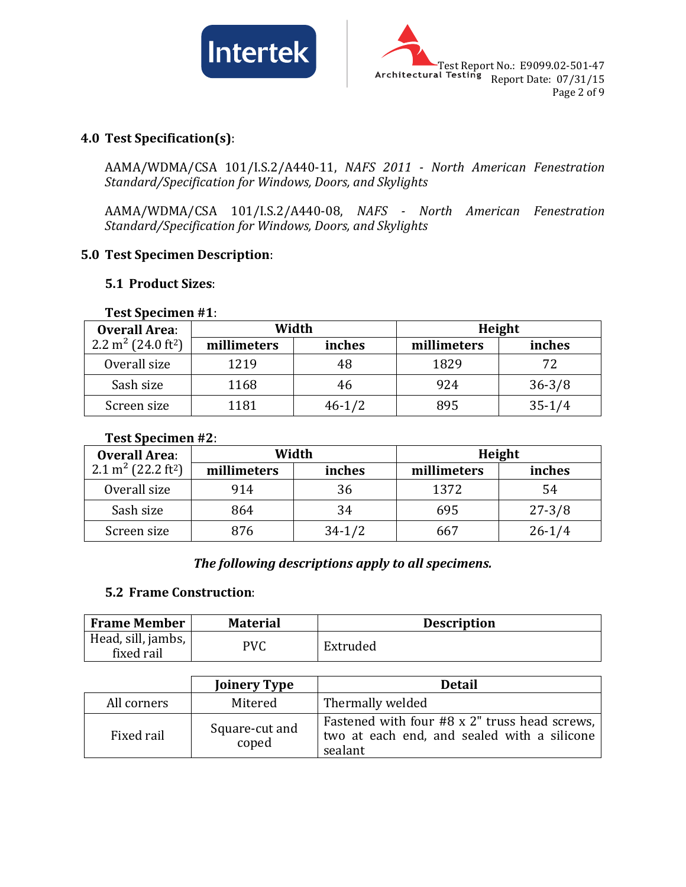



#### **4.0 Test Specification(s)**:

AAMA/WDMA/CSA 101/I.S.2/A440-11, *NAFS 2011 - North American Fenestration Standard/Specification for Windows, Doors, and Skylights*

AAMA/WDMA/CSA 101/I.S.2/A440-08, *NAFS - North American Fenestration Standard/Specification for Windows, Doors, and Skylights*

#### **5.0 Test Specimen Description**:

#### **5.1 Product Sizes**:

| $1$ CSL JPC CHILE II $\pi$ 1.<br><b>Overall Area:</b> |             | Width      |             | Height     |
|-------------------------------------------------------|-------------|------------|-------------|------------|
| 2.2 m <sup>2</sup> (24.0 ft <sup>2</sup> )            | millimeters | inches     | millimeters | inches     |
| Overall size                                          | 1219        | 48         | 1829        | 72         |
| Sash size                                             | 1168        | 46         | 924         | $36 - 3/8$ |
| Screen size                                           | 1181        | $46 - 1/2$ | 895         | $35 - 1/4$ |

#### **Test Specimen #1**:

#### **Test Specimen #2**:

| <b>Overall Area:</b>                       |             | Width      |             | Height     |
|--------------------------------------------|-------------|------------|-------------|------------|
| 2.1 m <sup>2</sup> (22.2 ft <sup>2</sup> ) | millimeters | inches     | millimeters | inches     |
| Overall size                               | 914         | 36         | 1372        | 54         |
| Sash size                                  | 864         | 34         | 695         | $27 - 3/8$ |
| Screen size                                | 876         | $34 - 1/2$ | 667         | $26 - 1/4$ |

#### *The following descriptions apply to all specimens.*

#### **5.2 Frame Construction**:

| <b>Frame Member</b>              | <b>Material</b> | <b>Description</b> |
|----------------------------------|-----------------|--------------------|
| Head, sill, jambs,<br>fixed rail | PVC             | Extruded           |

|             | <b>Joinery Type</b>     | <b>Detail</b>                                                                                           |
|-------------|-------------------------|---------------------------------------------------------------------------------------------------------|
| All corners | Mitered                 | Thermally welded                                                                                        |
| Fixed rail  | Square-cut and<br>coped | Fastened with four #8 x 2" truss head screws,<br>two at each end, and sealed with a silicone<br>sealant |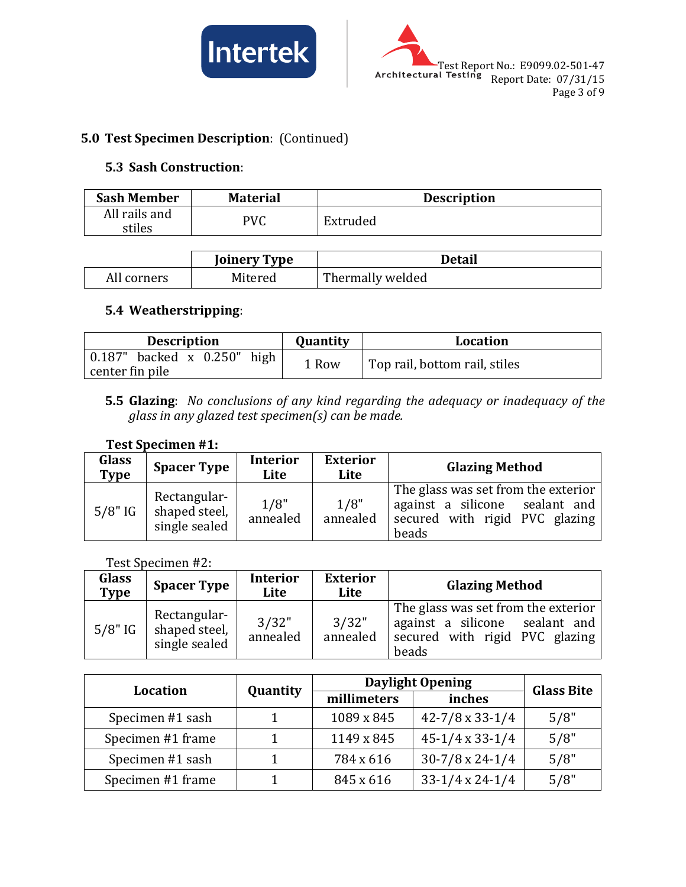



### **5.0 Test Specimen Description**: (Continued)

#### **5.3 Sash Construction**:

| <b>Sash Member</b>      | <b>Material</b> | <b>Description</b> |
|-------------------------|-----------------|--------------------|
| All rails and<br>stiles | PVC             | Extruded           |

|             | <b>Joinery Type</b> | <b>Detail</b>    |
|-------------|---------------------|------------------|
| All corners | Mitered             | Thermally welded |

#### **5.4 Weatherstripping**:

| <b>Description</b>                | Quantity | <b>Location</b>               |
|-----------------------------------|----------|-------------------------------|
| $0.187$ " backed x $0.250$ " high | 1 Row    | Top rail, bottom rail, stiles |
| center fin pile                   |          |                               |

#### **5.5 Glazing**: *No conclusions of any kind regarding the adequacy or inadequacy of the glass in any glazed test specimen(s) can be made.*

#### **Test Specimen #1:**

| Glass<br><b>Type</b> | <b>Spacer Type</b>                             | <b>Interior</b><br>Lite | <b>Exterior</b><br>Lite | <b>Glazing Method</b>                                                                                            |  |
|----------------------|------------------------------------------------|-------------------------|-------------------------|------------------------------------------------------------------------------------------------------------------|--|
| $5/8"$ IG            | Rectangular-<br>shaped steel,<br>single sealed | 1/8"<br>annealed        | 1/8"<br>annealed        | The glass was set from the exterior<br>against a silicone sealant and<br>secured with rigid PVC glazing<br>beads |  |

Test Specimen #2:

| Glass<br>Type | <b>Spacer Type</b>                             | <b>Interior</b><br>Lite | <b>Exterior</b><br>Lite | <b>Glazing Method</b>                                                                                            |
|---------------|------------------------------------------------|-------------------------|-------------------------|------------------------------------------------------------------------------------------------------------------|
| $5/8"$ IG     | Rectangular-<br>shaped steel,<br>single sealed | 3/32"<br>annealed       | 3/32"<br>annealed       | The glass was set from the exterior<br>against a silicone sealant and<br>secured with rigid PVC glazing<br>beads |

| <b>Location</b>   |          | <b>Daylight Opening</b> | <b>Glass Bite</b>          |      |
|-------------------|----------|-------------------------|----------------------------|------|
|                   | Quantity | millimeters             | inches                     |      |
| Specimen #1 sash  |          | 1089 x 845              | $42 - 7/8 \times 33 - 1/4$ | 5/8" |
| Specimen #1 frame |          | 1149 x 845              | $45-1/4 \times 33-1/4$     | 5/8" |
| Specimen #1 sash  |          | 784 x 616               | $30-7/8 \times 24-1/4$     | 5/8" |
| Specimen #1 frame |          | 845 x 616               | $33-1/4 \times 24-1/4$     | 5/8" |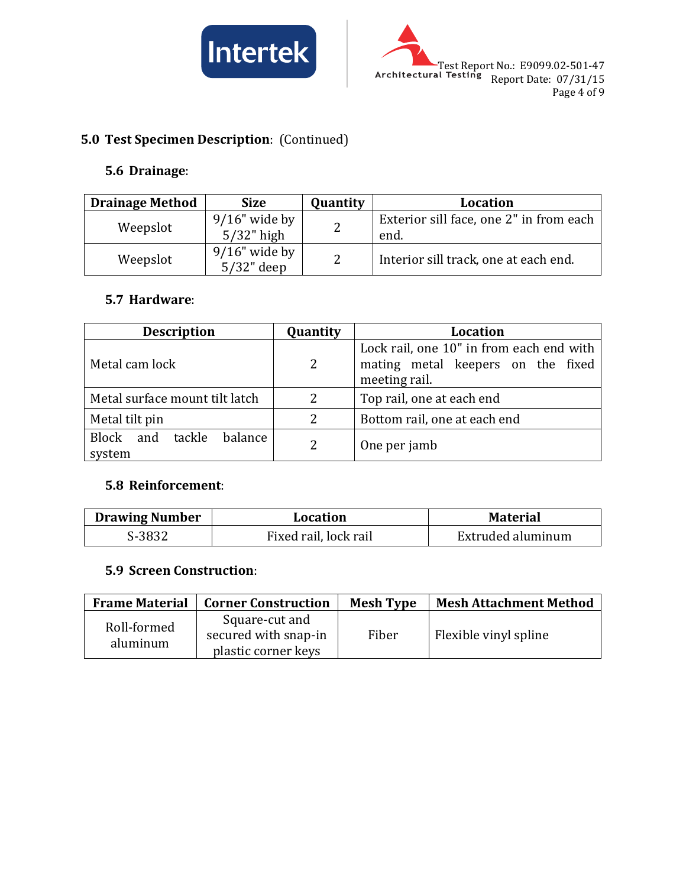



## **5.0 Test Specimen Description**: (Continued)

#### **5.6 Drainage**:

| <b>Drainage Method</b> | <b>Size</b>                       | Quantity      | <b>Location</b>                                 |
|------------------------|-----------------------------------|---------------|-------------------------------------------------|
| Weepslot               | $9/16$ " wide by<br>$5/32$ " high | $\mathcal{D}$ | Exterior sill face, one 2" in from each<br>end. |
| Weepslot               | $9/16$ " wide by<br>$5/32$ " deep | $\mathcal{P}$ | Interior sill track, one at each end.           |

#### **5.7 Hardware**:

| <b>Description</b>                    | Quantity | <b>Location</b>                                                                                |  |
|---------------------------------------|----------|------------------------------------------------------------------------------------------------|--|
| Metal cam lock                        | 2        | Lock rail, one 10" in from each end with<br>mating metal keepers on the fixed<br>meeting rail. |  |
| Metal surface mount tilt latch        |          | Top rail, one at each end                                                                      |  |
| Metal tilt pin                        | 2        | Bottom rail, one at each end                                                                   |  |
| Block and tackle<br>balance<br>system | 2        | One per jamb                                                                                   |  |

#### **5.8 Reinforcement**:

| <b>Drawing Number</b> | Location              | <b>Material</b>   |
|-----------------------|-----------------------|-------------------|
| S-3832                | Fixed rail, lock rail | Extruded aluminum |

#### **5.9 Screen Construction**:

| <b>Frame Material</b>   | <b>Corner Construction</b>                                    | <b>Mesh Type</b> | <b>Mesh Attachment Method</b> |
|-------------------------|---------------------------------------------------------------|------------------|-------------------------------|
| Roll-formed<br>aluminum | Square-cut and<br>secured with snap-in<br>plastic corner keys | Fiber            | Flexible vinyl spline         |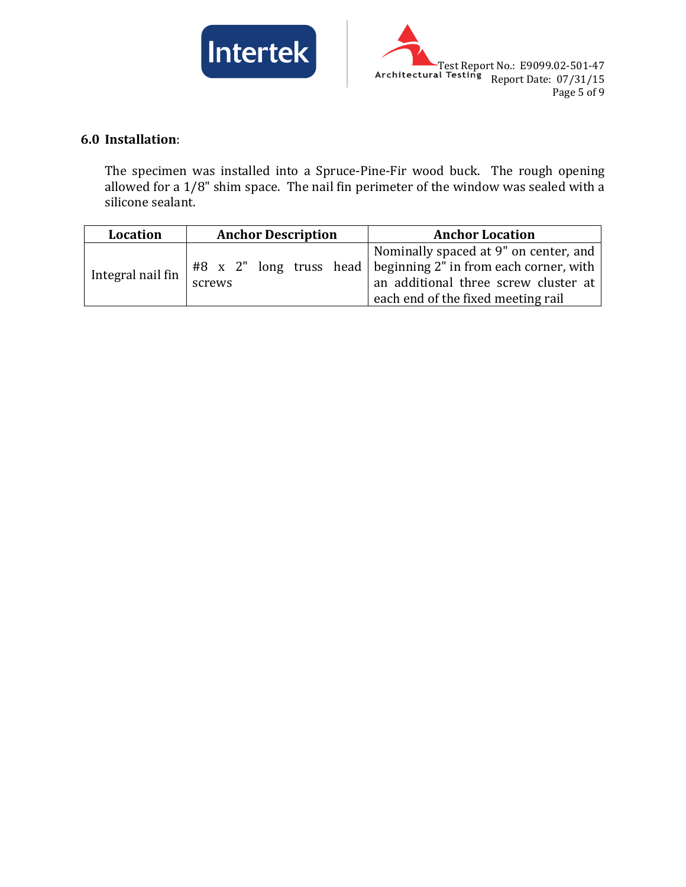



## **6.0 Installation**:

The specimen was installed into a Spruce-Pine-Fir wood buck. The rough opening allowed for a 1/8" shim space. The nail fin perimeter of the window was sealed with a silicone sealant.

| Location          | <b>Anchor Description</b> | <b>Anchor Location</b>                                                                                                                                                                  |
|-------------------|---------------------------|-----------------------------------------------------------------------------------------------------------------------------------------------------------------------------------------|
| Integral nail fin | screws                    | Nominally spaced at 9" on center, and<br>$#8$ x 2" long truss head beginning 2" in from each corner, with<br>an additional three screw cluster at<br>each end of the fixed meeting rail |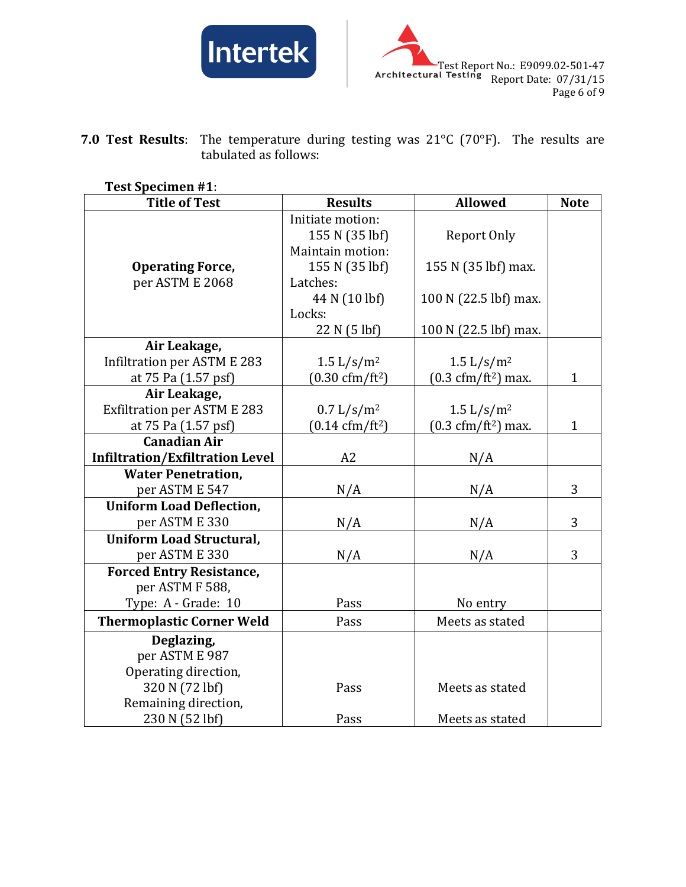



**7.0 Test Results**: The temperature during testing was 21°C (70°F). The results are tabulated as follows:

| <b>Test Specimen #1:</b> |  |
|--------------------------|--|
|                          |  |

| <b>Title of Test</b>                   | <b>Results</b>                               | <b>Allowed</b>                               | <b>Note</b>  |
|----------------------------------------|----------------------------------------------|----------------------------------------------|--------------|
|                                        | Initiate motion:                             |                                              |              |
|                                        | 155 N (35 lbf)                               | Report Only                                  |              |
|                                        | Maintain motion:                             |                                              |              |
| <b>Operating Force,</b>                | 155 N (35 lbf)                               | 155 N (35 lbf) max.                          |              |
| per ASTM E 2068                        | Latches:                                     |                                              |              |
|                                        | 44 N (10 lbf)                                | 100 N (22.5 lbf) max.                        |              |
|                                        | Locks:                                       |                                              |              |
|                                        | 22 N (5 lbf)                                 | 100 N (22.5 lbf) max.                        |              |
| Air Leakage,                           |                                              |                                              |              |
| <b>Infiltration per ASTM E 283</b>     | $1.5 \frac{\text{L}}{\text{s}} / \text{m}^2$ | $1.5 \frac{\text{L}}{\text{s}} / \text{m}^2$ |              |
| at 75 Pa (1.57 psf)                    | $(0.30 \text{ cfm}/\text{ft}^2)$             | $(0.3 \text{ cfm}/\text{ft}^2)$ max.         | $\mathbf{1}$ |
| Air Leakage,                           |                                              |                                              |              |
| <b>Exfiltration per ASTM E 283</b>     | 0.7 L/s/m <sup>2</sup>                       | 1.5 $L/s/m^2$                                |              |
| at 75 Pa (1.57 psf)                    | $(0.14 \text{ cfm}/\text{ft}^2)$             | $(0.3 \text{ cfm}/\text{ft}^2)$ max.         | $\mathbf{1}$ |
| <b>Canadian Air</b>                    |                                              |                                              |              |
| <b>Infiltration/Exfiltration Level</b> | A2                                           | N/A                                          |              |
| <b>Water Penetration,</b>              |                                              |                                              |              |
| per ASTM E 547                         | N/A                                          | N/A                                          | 3            |
| <b>Uniform Load Deflection,</b>        |                                              |                                              |              |
| per ASTM E 330                         | N/A                                          | N/A                                          | 3            |
| <b>Uniform Load Structural,</b>        |                                              |                                              |              |
| per ASTM E 330                         | N/A                                          | N/A                                          | 3            |
| <b>Forced Entry Resistance,</b>        |                                              |                                              |              |
| per ASTM F 588,                        |                                              |                                              |              |
| Type: A - Grade: 10                    | Pass                                         | No entry                                     |              |
| <b>Thermoplastic Corner Weld</b>       | Pass                                         | Meets as stated                              |              |
| Deglazing,                             |                                              |                                              |              |
| per ASTM E 987                         |                                              |                                              |              |
| Operating direction,                   |                                              |                                              |              |
| 320 N (72 lbf)                         | Pass                                         | Meets as stated                              |              |
| Remaining direction,                   |                                              |                                              |              |
| 230 N (52 lbf)                         | Pass                                         | Meets as stated                              |              |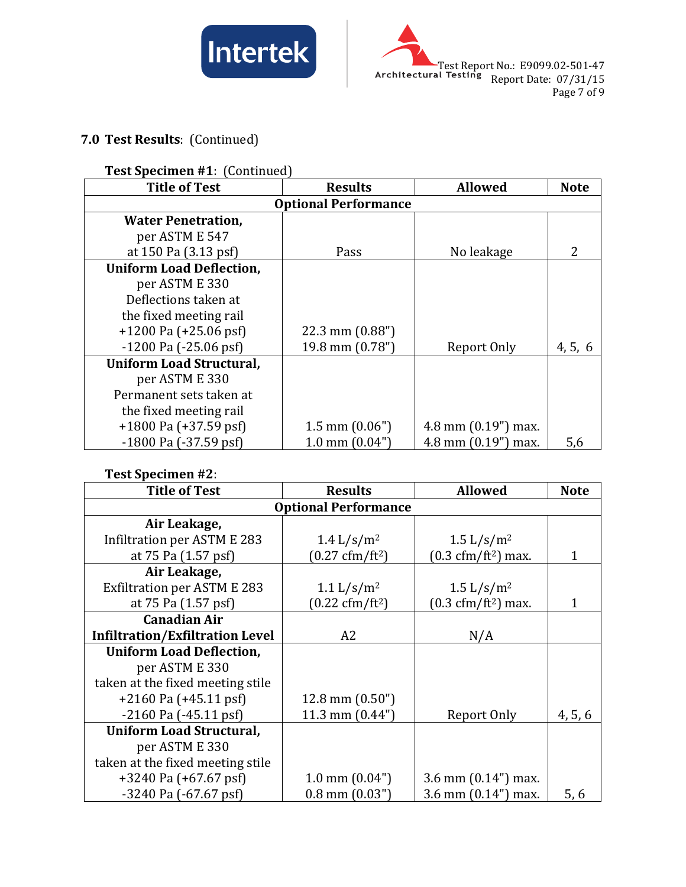



# **7.0 Test Results**: (Continued)

#### **Test Specimen #1**: (Continued)

| <b>Title of Test</b>            | <b>Results</b>           | <b>Allowed</b>        | <b>Note</b> |  |  |
|---------------------------------|--------------------------|-----------------------|-------------|--|--|
| <b>Optional Performance</b>     |                          |                       |             |  |  |
| <b>Water Penetration,</b>       |                          |                       |             |  |  |
| per ASTM E 547                  |                          |                       |             |  |  |
| at 150 Pa (3.13 psf)            | Pass                     | No leakage            |             |  |  |
| <b>Uniform Load Deflection,</b> |                          |                       |             |  |  |
| per ASTM E 330                  |                          |                       |             |  |  |
| Deflections taken at            |                          |                       |             |  |  |
| the fixed meeting rail          |                          |                       |             |  |  |
| $+1200$ Pa ( $+25.06$ psf)      | 22.3 mm $(0.88")$        |                       |             |  |  |
| $-1200$ Pa $(-25.06$ psf        | 19.8 mm (0.78")          | Report Only           | 4, 5, 6     |  |  |
| <b>Uniform Load Structural,</b> |                          |                       |             |  |  |
| per ASTM E 330                  |                          |                       |             |  |  |
| Permanent sets taken at         |                          |                       |             |  |  |
| the fixed meeting rail          |                          |                       |             |  |  |
| $+1800$ Pa $(+37.59$ psf)       | $1.5$ mm $(0.06")$       | 4.8 mm $(0.19")$ max. |             |  |  |
| $-1800$ Pa $(-37.59$ psf)       | $1.0 \text{ mm}$ (0.04") | 4.8 mm $(0.19")$ max. | 5,6         |  |  |

#### **Test Specimen #2**:

| <b>Title of Test</b>                   | <b>Results</b>                   | <b>Allowed</b>                              | <b>Note</b> |  |
|----------------------------------------|----------------------------------|---------------------------------------------|-------------|--|
| <b>Optional Performance</b>            |                                  |                                             |             |  |
| Air Leakage,                           |                                  |                                             |             |  |
| Infiltration per ASTM E 283            | 1.4 $L/s/m^2$                    | $1.5 \frac{\text{L}}{\text{s}} \text{/m}^2$ |             |  |
| at 75 Pa (1.57 psf)                    | $(0.27 \text{ cfm}/\text{ft}^2)$ | $(0.3 \text{ cfm}/\text{ft}^2)$ max.        | 1           |  |
| Air Leakage,                           |                                  |                                             |             |  |
| <b>Exfiltration per ASTM E 283</b>     | 1.1 $L/s/m^2$                    | $1.5 \frac{\text{L}}{\text{s}} \text{/m}^2$ |             |  |
| at 75 Pa (1.57 psf)                    | $(0.22 \text{ cfm}/\text{ft}^2)$ | $(0.3 \text{ cfm}/\text{ft}^2)$ max.        | 1           |  |
| <b>Canadian Air</b>                    |                                  |                                             |             |  |
| <b>Infiltration/Exfiltration Level</b> | A <sub>2</sub>                   | N/A                                         |             |  |
| <b>Uniform Load Deflection,</b>        |                                  |                                             |             |  |
| per ASTM E 330                         |                                  |                                             |             |  |
| taken at the fixed meeting stile       |                                  |                                             |             |  |
| $+2160$ Pa ( $+45.11$ psf)             | $12.8$ mm $(0.50")$              |                                             |             |  |
| $-2160$ Pa $(-45.11$ psf               | 11.3 mm $(0.44")$                | Report Only                                 | 4, 5, 6     |  |
| <b>Uniform Load Structural,</b>        |                                  |                                             |             |  |
| per ASTM E 330                         |                                  |                                             |             |  |
| taken at the fixed meeting stile       |                                  |                                             |             |  |
| +3240 Pa (+67.67 psf)                  | $1.0 \text{ mm} (0.04")$         | $3.6$ mm $(0.14")$ max.                     |             |  |
| $-3240$ Pa $(-67.67$ psf               | $0.8$ mm $(0.03")$               | $3.6$ mm $(0.14")$ max.                     | 5,6         |  |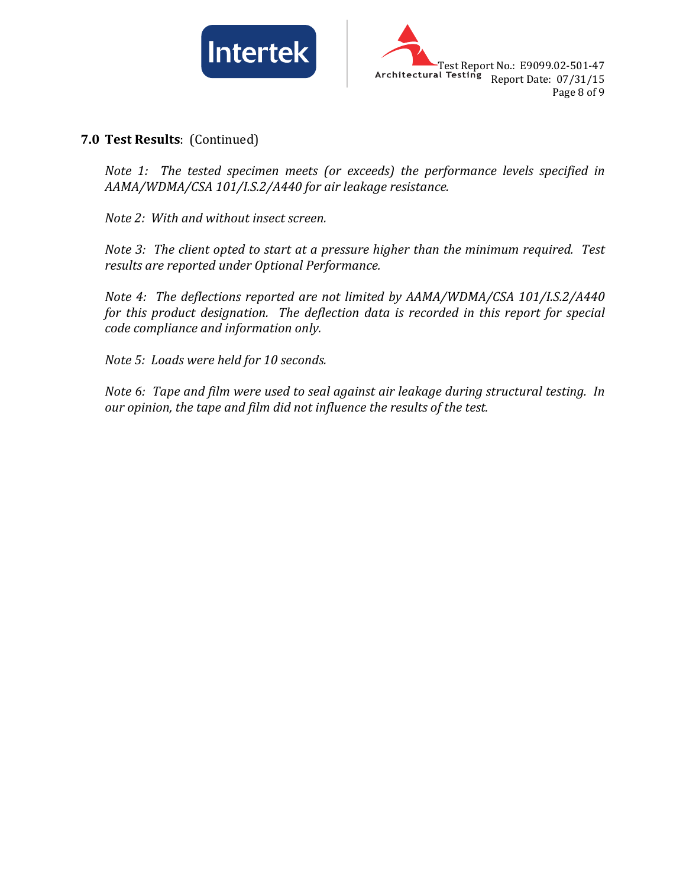



#### **7.0 Test Results**: (Continued)

*Note 1: The tested specimen meets (or exceeds) the performance levels specified in AAMA/WDMA/CSA 101/I.S.2/A440 for air leakage resistance.*

*Note 2: With and without insect screen.*

*Note 3: The client opted to start at a pressure higher than the minimum required. Test results are reported under Optional Performance.*

*Note 4: The deflections reported are not limited by AAMA/WDMA/CSA 101/I.S.2/A440 for this product designation. The deflection data is recorded in this report for special code compliance and information only.*

*Note 5: Loads were held for 10 seconds.*

*Note 6: Tape and film were used to seal against air leakage during structural testing. In our opinion, the tape and film did not influence the results of the test.*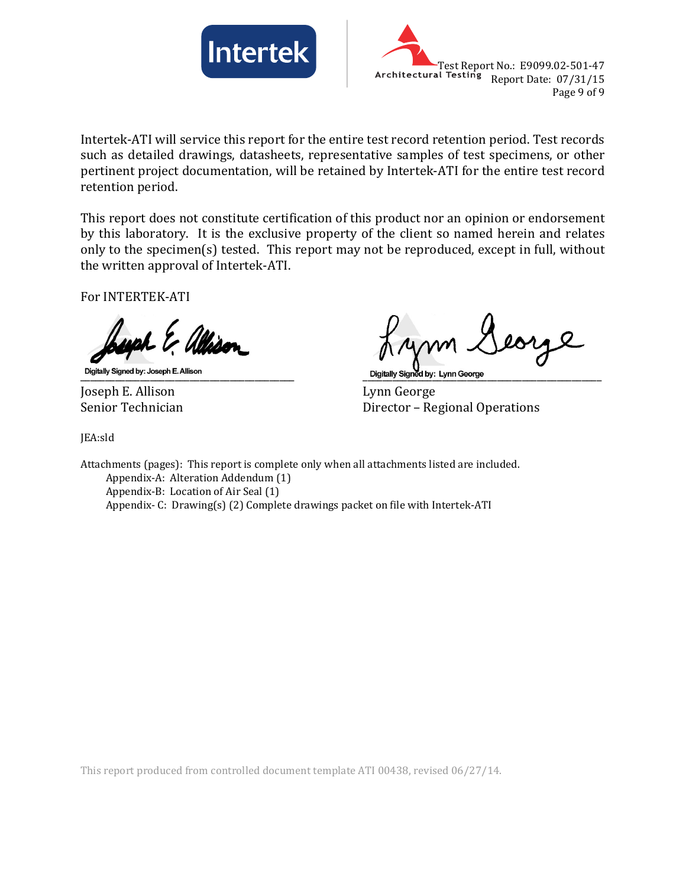



Intertek-ATI will service this report for the entire test record retention period. Test records such as detailed drawings, datasheets, representative samples of test specimens, or other pertinent project documentation, will be retained by Intertek-ATI for the entire test record retention period.

This report does not constitute certification of this product nor an opinion or endorsement by this laboratory. It is the exclusive property of the client so named herein and relates only to the specimen(s) tested. This report may not be reproduced, except in full, without the written approval of Intertek-ATI.

For INTERTEK-ATI

Joseph E. Allison Lynn George

\_\_\_\_\_\_\_\_\_\_\_\_\_\_\_\_\_\_\_\_\_\_\_\_\_\_\_\_\_\_\_\_\_\_\_\_\_\_\_\_\_\_\_ \_\_\_\_\_\_\_\_\_\_\_\_\_\_\_\_\_\_\_\_\_\_\_\_\_\_\_\_\_\_\_\_\_\_\_\_\_\_\_\_\_\_\_\_\_\_\_\_

Director – Regional Operations

JEA:sld

Attachments (pages): This report is complete only when all attachments listed are included. Appendix-A: Alteration Addendum (1) Appendix-B: Location of Air Seal (1) Appendix- C: Drawing(s) (2) Complete drawings packet on file with Intertek-ATI

This report produced from controlled document template ATI 00438, revised 06/27/14.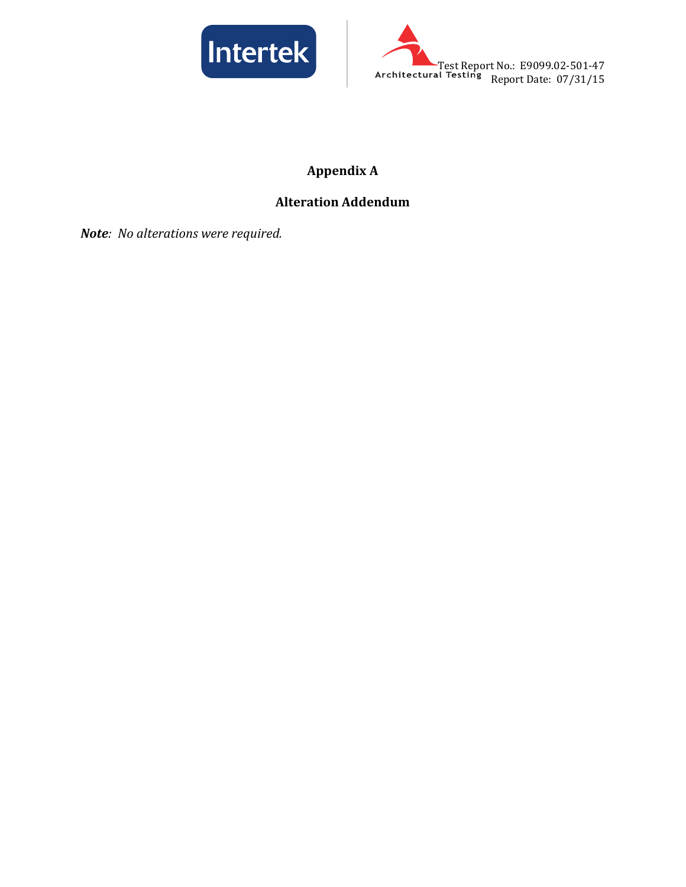



# **Appendix A**

# **Alteration Addendum**

*Note: No alterations were required.*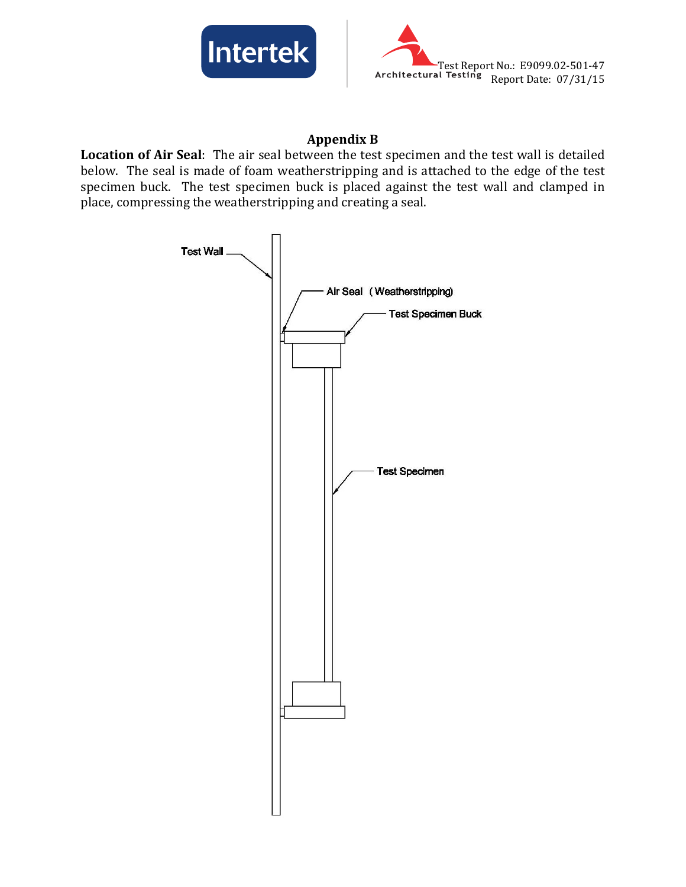



#### **Appendix B**

**Location of Air Seal**: The air seal between the test specimen and the test wall is detailed below. The seal is made of foam weatherstripping and is attached to the edge of the test specimen buck. The test specimen buck is placed against the test wall and clamped in place, compressing the weatherstripping and creating a seal.

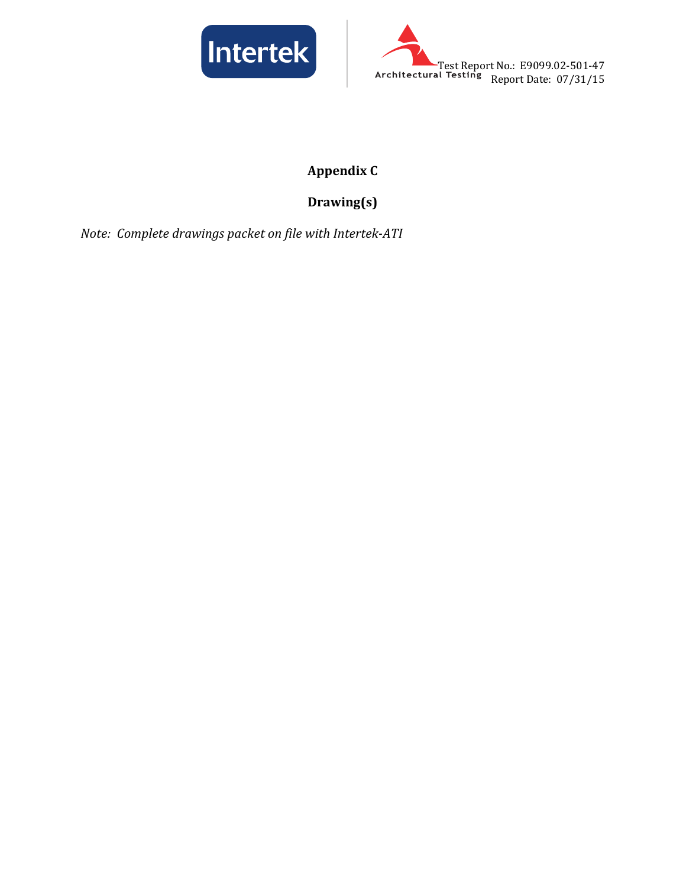



# **Appendix C**

# **Drawing(s)**

*Note: Complete drawings packet on file with Intertek-ATI*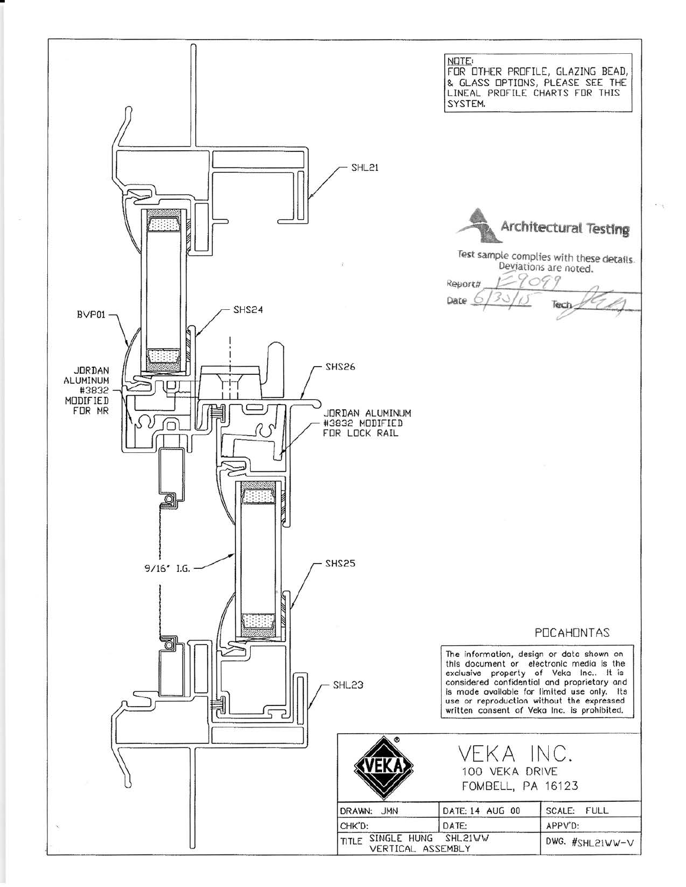